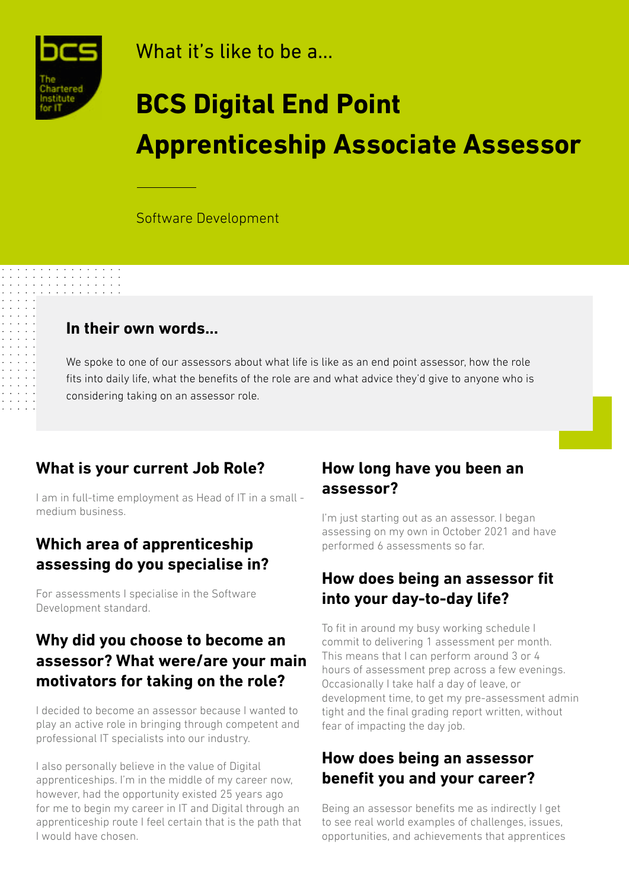

 $\begin{array}{cccccccccc} 1 & 1 & 1 & 1 & 1 & 1 & 1 & 1 & 1 & 1 \\ 1 & 1 & 1 & 1 & 1 & 1 & 1 & 1 & 1 & 1 \\ 1 & 1 & 1 & 1 & 1 & 1 & 1 & 1 & 1 & 1 \\ 1 & 1 & 1 & 1 & 1 & 1 & 1 & 1 & 1 & 1 \\ 1 & 1 & 1 & 1 & 1 & 1 & 1 & 1 & 1 & 1 \\ 1 & 1 & 1 & 1 & 1 & 1 & 1 & 1 & 1 & 1 \\ 1 & 1 & 1 & 1 & 1 & 1 & 1 & 1 & 1 & 1 \\$ 

What it's like to be a...

# **BCS Digital End Point Apprenticeship Associate Assessor**

Software Development

#### **In their own words...**

We spoke to one of our assessors about what life is like as an end point assessor, how the role fits into daily life, what the benefits of the role are and what advice they'd give to anyone who is considering taking on an assessor role.

#### **What is your current Job Role?**

I am in full-time employment as Head of IT in a small medium business.

#### **Which area of apprenticeship assessing do you specialise in?**

For assessments I specialise in the Software Development standard.

#### **Why did you choose to become an assessor? What were/are your main motivators for taking on the role?**

I decided to become an assessor because I wanted to play an active role in bringing through competent and professional IT specialists into our industry.

I also personally believe in the value of Digital apprenticeships. I'm in the middle of my career now, however, had the opportunity existed 25 years ago for me to begin my career in IT and Digital through an apprenticeship route I feel certain that is the path that I would have chosen.

#### **How long have you been an assessor?**

I'm just starting out as an assessor. I began assessing on my own in October 2021 and have performed 6 assessments so far.

#### **How does being an assessor fit into your day-to-day life?**

To fit in around my busy working schedule I commit to delivering 1 assessment per month. This means that I can perform around 3 or 4 hours of assessment prep across a few evenings. Occasionally I take half a day of leave, or development time, to get my pre-assessment admin tight and the final grading report written, without fear of impacting the day job.

#### **How does being an assessor benefit you and your career?**

Being an assessor benefits me as indirectly I get to see real world examples of challenges, issues, opportunities, and achievements that apprentices